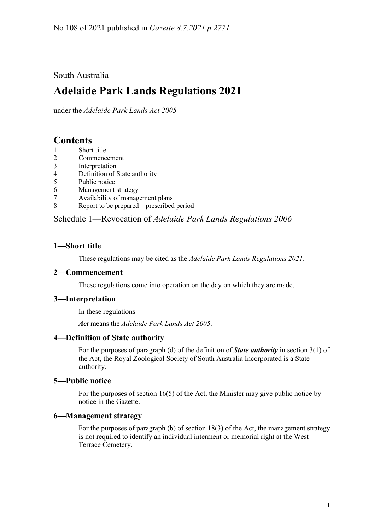## South Australia

# **Adelaide Park Lands Regulations 2021**

under the *Adelaide Park Lands Act 2005*

## **Contents**

- 1 [Short title](#page-0-0)<br>2 Commenc
- **[Commencement](#page-0-1)**
- 3 [Interpretation](#page-0-2)
- 4 [Definition of State authority](#page-0-3)
- 5 [Public notice](#page-0-4)<br>6 Management
- 6 [Management strategy](#page-0-5)
- 7 [Availability of management plans](#page-1-0)<br>8 Report to be prepared—prescribed
- [Report to be prepared—prescribed period](#page-1-1)

Schedule 1—Revocation of *[Adelaide Park Lands Regulations](#page-1-2) 2006*

## <span id="page-0-0"></span>**1—Short title**

These regulations may be cited as the *Adelaide Park Lands Regulations 2021*.

## <span id="page-0-1"></span>**2—Commencement**

These regulations come into operation on the day on which they are made.

## <span id="page-0-2"></span>**3—Interpretation**

In these regulations—

*Act* means the *[Adelaide Park Lands Act](http://www.legislation.sa.gov.au/index.aspx?action=legref&type=act&legtitle=Adelaide%20Park%20Lands%20Act%202005) 2005*.

## <span id="page-0-3"></span>**4—Definition of State authority**

For the purposes of paragraph (d) of the definition of *State authority* in section 3(1) of the Act, the Royal Zoological Society of South Australia Incorporated is a State authority.

## <span id="page-0-4"></span>**5—Public notice**

For the purposes of section 16(5) of the Act, the Minister may give public notice by notice in the Gazette.

#### <span id="page-0-5"></span>**6—Management strategy**

For the purposes of paragraph (b) of section 18(3) of the Act, the management strategy is not required to identify an individual interment or memorial right at the West Terrace Cemetery.